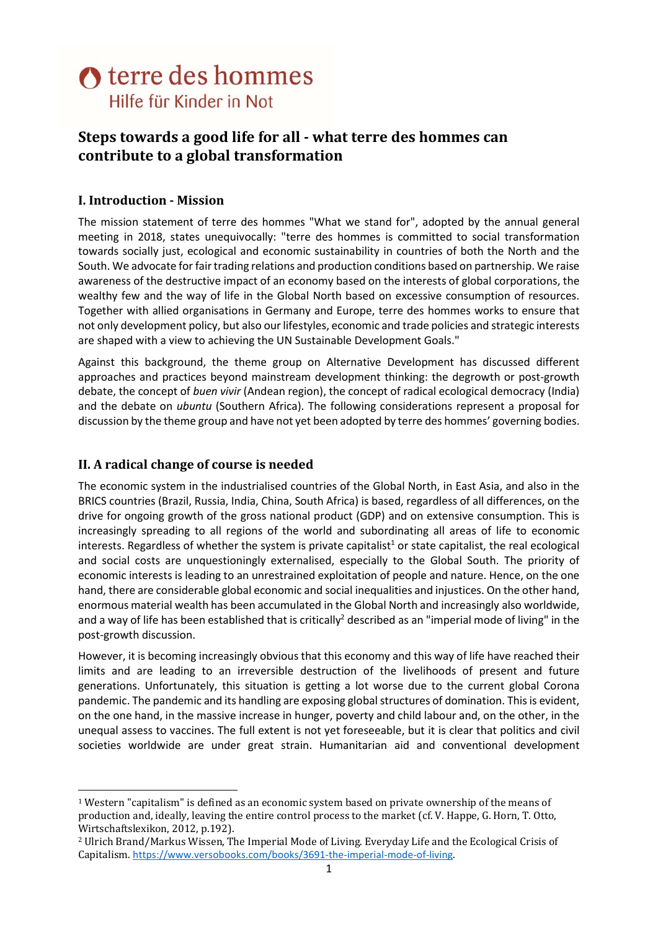# **O** terre des hommes Hilfe für Kinder in Not

# Steps towards a good life for all - what terre des hommes can contribute to a global transformation

# I. Introduction - Mission

The mission statement of terre des hommes "What we stand for", adopted by the annual general meeting in 2018, states unequivocally: "terre des hommes is committed to social transformation towards socially just, ecological and economic sustainability in countries of both the North and the South. We advocate for fair trading relations and production conditions based on partnership. We raise awareness of the destructive impact of an economy based on the interests of global corporations, the wealthy few and the way of life in the Global North based on excessive consumption of resources. Together with allied organisations in Germany and Europe, terre des hommes works to ensure that not only development policy, but also our lifestyles, economic and trade policies and strategic interests are shaped with a view to achieving the UN Sustainable Development Goals."

Against this background, the theme group on Alternative Development has discussed different approaches and practices beyond mainstream development thinking: the degrowth or post-growth debate, the concept of buen vivir (Andean region), the concept of radical ecological democracy (India) and the debate on ubuntu (Southern Africa). The following considerations represent a proposal for discussion by the theme group and have not yet been adopted by terre des hommes' governing bodies.

# II. A radical change of course is needed

The economic system in the industrialised countries of the Global North, in East Asia, and also in the BRICS countries (Brazil, Russia, India, China, South Africa) is based, regardless of all differences, on the drive for ongoing growth of the gross national product (GDP) and on extensive consumption. This is increasingly spreading to all regions of the world and subordinating all areas of life to economic interests. Regardless of whether the system is private capitalist<sup>1</sup> or state capitalist, the real ecological and social costs are unquestioningly externalised, especially to the Global South. The priority of economic interests is leading to an unrestrained exploitation of people and nature. Hence, on the one hand, there are considerable global economic and social inequalities and injustices. On the other hand, enormous material wealth has been accumulated in the Global North and increasingly also worldwide, and a way of life has been established that is critically<sup>2</sup> described as an "imperial mode of living" in the post-growth discussion.

However, it is becoming increasingly obvious that this economy and this way of life have reached their limits and are leading to an irreversible destruction of the livelihoods of present and future generations. Unfortunately, this situation is getting a lot worse due to the current global Corona pandemic. The pandemic and its handling are exposing global structures of domination. This is evident, on the one hand, in the massive increase in hunger, poverty and child labour and, on the other, in the unequal assess to vaccines. The full extent is not yet foreseeable, but it is clear that politics and civil societies worldwide are under great strain. Humanitarian aid and conventional development

<sup>1</sup> Western "capitalism" is defined as an economic system based on private ownership of the means of production and, ideally, leaving the entire control process to the market (cf. V. Happe, G. Horn, T. Otto, Wirtschaftslexikon, 2012, p.192).

<sup>2</sup> Ulrich Brand/Markus Wissen, The Imperial Mode of Living. Everyday Life and the Ecological Crisis of Capitalism. https://www.versobooks.com/books/3691-the-imperial-mode-of-living.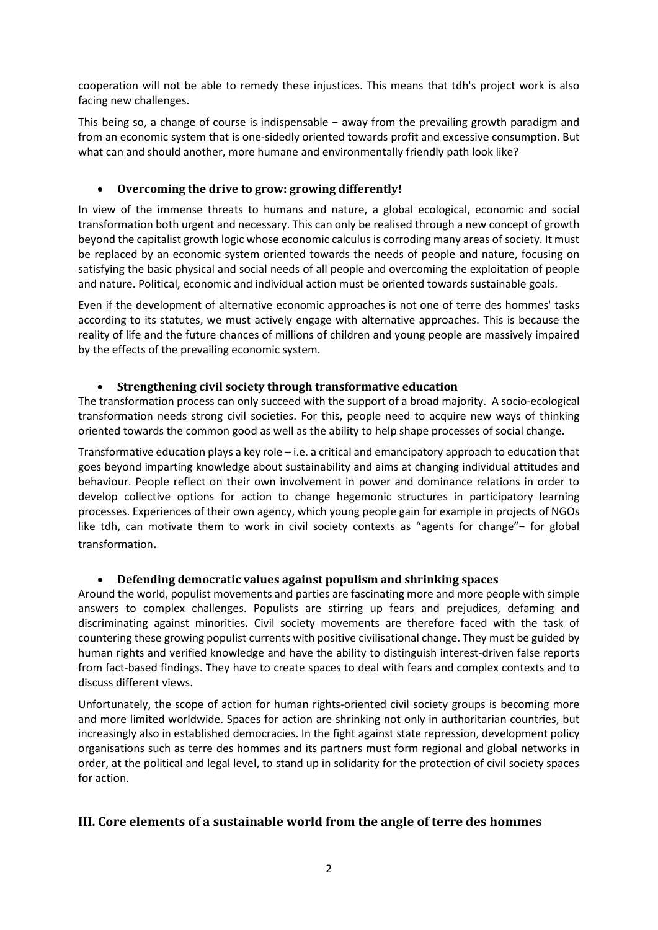cooperation will not be able to remedy these injustices. This means that tdh's project work is also facing new challenges.

This being so, a change of course is indispensable − away from the prevailing growth paradigm and from an economic system that is one-sidedly oriented towards profit and excessive consumption. But what can and should another, more humane and environmentally friendly path look like?

#### Overcoming the drive to grow: growing differently!

In view of the immense threats to humans and nature, a global ecological, economic and social transformation both urgent and necessary. This can only be realised through a new concept of growth beyond the capitalist growth logic whose economic calculus is corroding many areas of society. It must be replaced by an economic system oriented towards the needs of people and nature, focusing on satisfying the basic physical and social needs of all people and overcoming the exploitation of people and nature. Political, economic and individual action must be oriented towards sustainable goals.

Even if the development of alternative economic approaches is not one of terre des hommes' tasks according to its statutes, we must actively engage with alternative approaches. This is because the reality of life and the future chances of millions of children and young people are massively impaired by the effects of the prevailing economic system.

#### Strengthening civil society through transformative education

The transformation process can only succeed with the support of a broad majority. A socio-ecological transformation needs strong civil societies. For this, people need to acquire new ways of thinking oriented towards the common good as well as the ability to help shape processes of social change.

Transformative education plays a key role – i.e. a critical and emancipatory approach to education that goes beyond imparting knowledge about sustainability and aims at changing individual attitudes and behaviour. People reflect on their own involvement in power and dominance relations in order to develop collective options for action to change hegemonic structures in participatory learning processes. Experiences of their own agency, which young people gain for example in projects of NGOs like tdh, can motivate them to work in civil society contexts as "agents for change"− for global transformation.

# Defending democratic values against populism and shrinking spaces

Around the world, populist movements and parties are fascinating more and more people with simple answers to complex challenges. Populists are stirring up fears and prejudices, defaming and discriminating against minorities. Civil society movements are therefore faced with the task of countering these growing populist currents with positive civilisational change. They must be guided by human rights and verified knowledge and have the ability to distinguish interest-driven false reports from fact-based findings. They have to create spaces to deal with fears and complex contexts and to discuss different views.

Unfortunately, the scope of action for human rights-oriented civil society groups is becoming more and more limited worldwide. Spaces for action are shrinking not only in authoritarian countries, but increasingly also in established democracies. In the fight against state repression, development policy organisations such as terre des hommes and its partners must form regional and global networks in order, at the political and legal level, to stand up in solidarity for the protection of civil society spaces for action.

# III. Core elements of a sustainable world from the angle of terre des hommes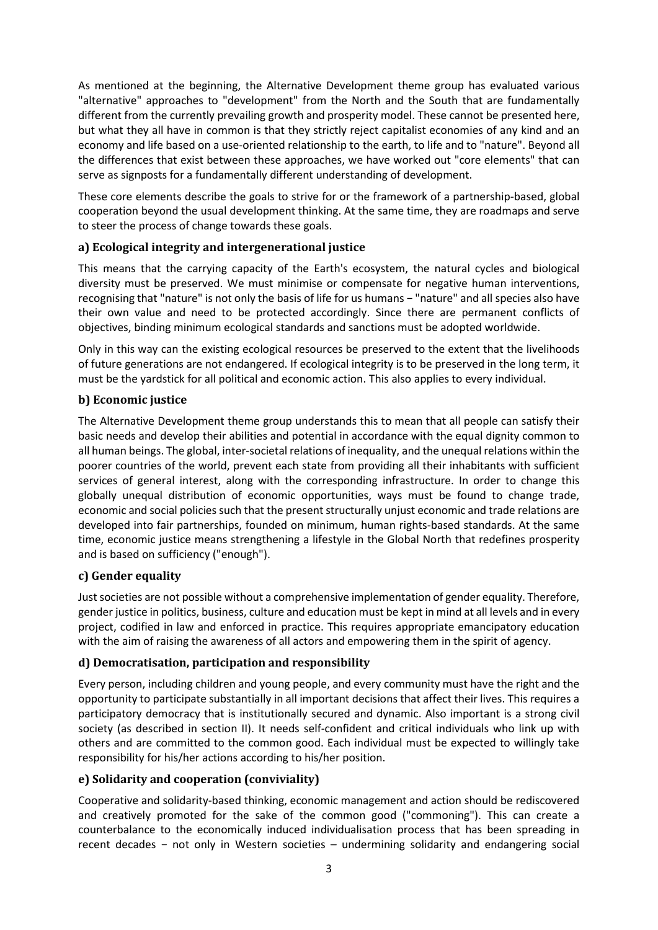As mentioned at the beginning, the Alternative Development theme group has evaluated various "alternative" approaches to "development" from the North and the South that are fundamentally different from the currently prevailing growth and prosperity model. These cannot be presented here, but what they all have in common is that they strictly reject capitalist economies of any kind and an economy and life based on a use-oriented relationship to the earth, to life and to "nature". Beyond all the differences that exist between these approaches, we have worked out "core elements" that can serve as signposts for a fundamentally different understanding of development.

These core elements describe the goals to strive for or the framework of a partnership-based, global cooperation beyond the usual development thinking. At the same time, they are roadmaps and serve to steer the process of change towards these goals.

#### a) Ecological integrity and intergenerational justice

This means that the carrying capacity of the Earth's ecosystem, the natural cycles and biological diversity must be preserved. We must minimise or compensate for negative human interventions, recognising that "nature" is not only the basis of life for us humans − "nature" and all species also have their own value and need to be protected accordingly. Since there are permanent conflicts of objectives, binding minimum ecological standards and sanctions must be adopted worldwide.

Only in this way can the existing ecological resources be preserved to the extent that the livelihoods of future generations are not endangered. If ecological integrity is to be preserved in the long term, it must be the yardstick for all political and economic action. This also applies to every individual.

#### b) Economic justice

The Alternative Development theme group understands this to mean that all people can satisfy their basic needs and develop their abilities and potential in accordance with the equal dignity common to all human beings. The global, inter-societal relations of inequality, and the unequal relations within the poorer countries of the world, prevent each state from providing all their inhabitants with sufficient services of general interest, along with the corresponding infrastructure. In order to change this globally unequal distribution of economic opportunities, ways must be found to change trade, economic and social policies such that the present structurally unjust economic and trade relations are developed into fair partnerships, founded on minimum, human rights-based standards. At the same time, economic justice means strengthening a lifestyle in the Global North that redefines prosperity and is based on sufficiency ("enough").

#### c) Gender equality

Just societies are not possible without a comprehensive implementation of gender equality. Therefore, gender justice in politics, business, culture and education must be kept in mind at all levels and in every project, codified in law and enforced in practice. This requires appropriate emancipatory education with the aim of raising the awareness of all actors and empowering them in the spirit of agency.

# d) Democratisation, participation and responsibility

Every person, including children and young people, and every community must have the right and the opportunity to participate substantially in all important decisions that affect their lives. This requires a participatory democracy that is institutionally secured and dynamic. Also important is a strong civil society (as described in section II). It needs self-confident and critical individuals who link up with others and are committed to the common good. Each individual must be expected to willingly take responsibility for his/her actions according to his/her position.

# e) Solidarity and cooperation (conviviality)

Cooperative and solidarity-based thinking, economic management and action should be rediscovered and creatively promoted for the sake of the common good ("commoning"). This can create a counterbalance to the economically induced individualisation process that has been spreading in recent decades − not only in Western societies – undermining solidarity and endangering social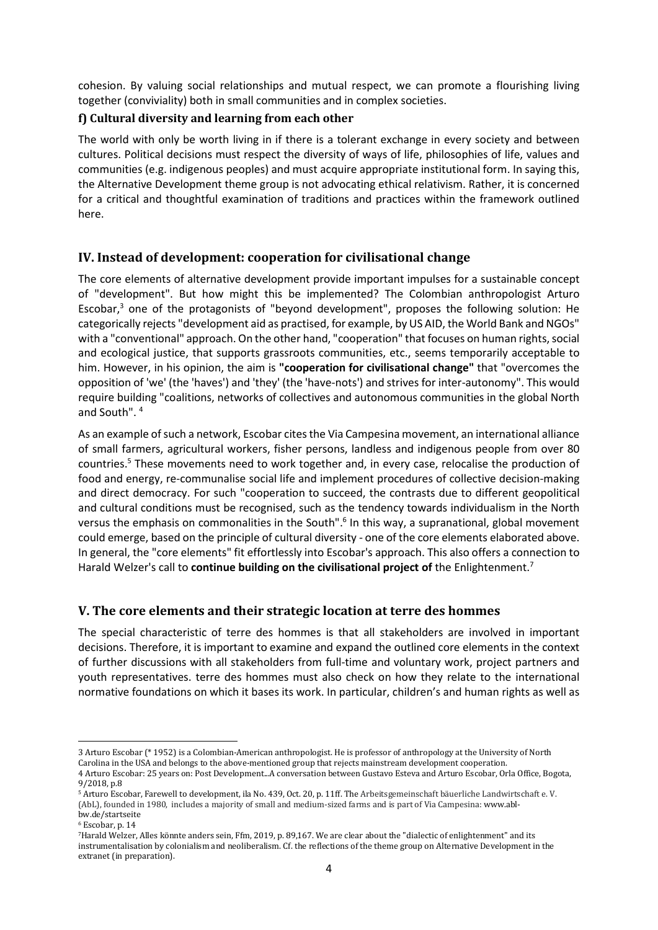cohesion. By valuing social relationships and mutual respect, we can promote a flourishing living together (conviviality) both in small communities and in complex societies.

#### f) Cultural diversity and learning from each other

The world with only be worth living in if there is a tolerant exchange in every society and between cultures. Political decisions must respect the diversity of ways of life, philosophies of life, values and communities (e.g. indigenous peoples) and must acquire appropriate institutional form. In saying this, the Alternative Development theme group is not advocating ethical relativism. Rather, it is concerned for a critical and thoughtful examination of traditions and practices within the framework outlined here.

# IV. Instead of development: cooperation for civilisational change

The core elements of alternative development provide important impulses for a sustainable concept of "development". But how might this be implemented? The Colombian anthropologist Arturo Escobar,<sup>3</sup> one of the protagonists of "beyond development", proposes the following solution: He categorically rejects "development aid as practised, for example, by US AID, the World Bank and NGOs" with a "conventional" approach. On the other hand, "cooperation" that focuses on human rights, social and ecological justice, that supports grassroots communities, etc., seems temporarily acceptable to him. However, in his opinion, the aim is "cooperation for civilisational change" that "overcomes the opposition of 'we' (the 'haves') and 'they' (the 'have-nots') and strives for inter-autonomy". This would require building "coalitions, networks of collectives and autonomous communities in the global North and South". <sup>4</sup>

As an example of such a network, Escobar cites the Via Campesina movement, an international alliance of small farmers, agricultural workers, fisher persons, landless and indigenous people from over 80 countries.<sup>5</sup> These movements need to work together and, in every case, relocalise the production of food and energy, re-communalise social life and implement procedures of collective decision-making and direct democracy. For such "cooperation to succeed, the contrasts due to different geopolitical and cultural conditions must be recognised, such as the tendency towards individualism in the North versus the emphasis on commonalities in the South".<sup>6</sup> In this way, a supranational, global movement could emerge, based on the principle of cultural diversity - one of the core elements elaborated above. In general, the "core elements" fit effortlessly into Escobar's approach. This also offers a connection to Harald Welzer's call to continue building on the civilisational project of the Enlightenment.<sup>7</sup>

# V. The core elements and their strategic location at terre des hommes

The special characteristic of terre des hommes is that all stakeholders are involved in important decisions. Therefore, it is important to examine and expand the outlined core elements in the context of further discussions with all stakeholders from full-time and voluntary work, project partners and youth representatives. terre des hommes must also check on how they relate to the international normative foundations on which it bases its work. In particular, children's and human rights as well as

<sup>3</sup> Arturo Escobar (\* 1952) is a Colombian-American anthropologist. He is professor of anthropology at the University of North Carolina in the USA and belongs to the above-mentioned group that rejects mainstream development cooperation. 4 Arturo Escobar: 25 years on: Post Development...A conversation between Gustavo Esteva and Arturo Escobar, Orla Office, Bogota,

<sup>9/2018,</sup> p.8 <sup>5</sup> Arturo Escobar, Farewell to development, ila No. 439, Oct. 20, p. 11ff. The Arbeitsgemeinschaft bäuerliche Landwirtschaft e. V. (AbL), founded in 1980, includes a majority of small and medium-sized farms and is part of Via Campesina: www.ablbw.de/startseite

<sup>6</sup> Escobar, p. 14

<sup>7</sup>Harald Welzer, Alles könnte anders sein, Ffm, 2019, p. 89,167. We are clear about the "dialectic of enlightenment" and its instrumentalisation by colonialism and neoliberalism. Cf. the reflections of the theme group on Alternative Development in the extranet (in preparation).